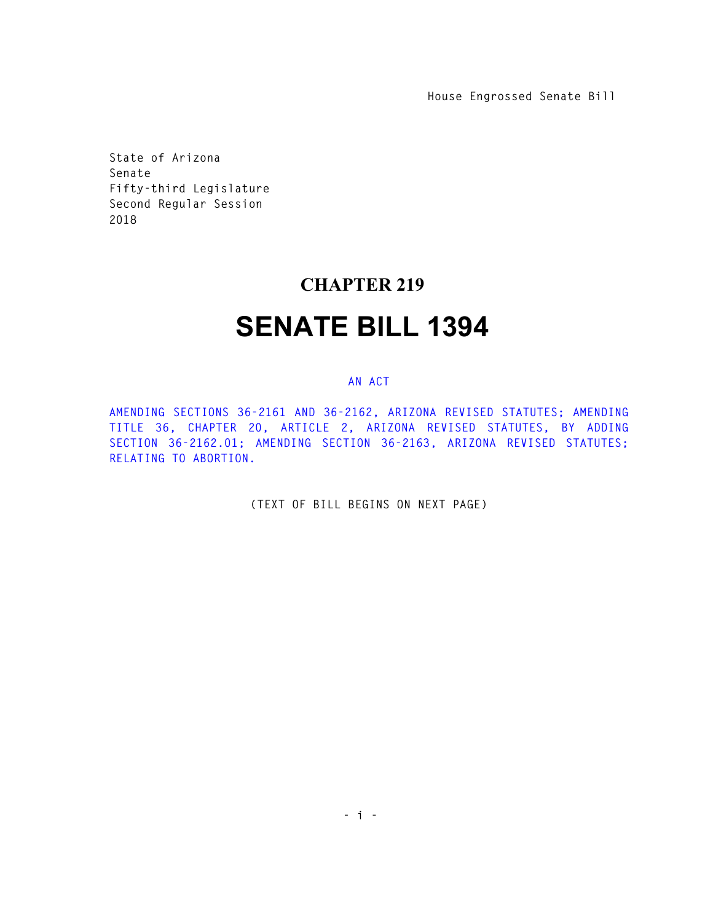**House Engrossed Senate Bill** 

**State of Arizona Senate Fifty-third Legislature Second Regular Session 2018** 

## **CHAPTER 219**

## **SENATE BILL 1394**

## **AN ACT**

**AMENDING SECTIONS 36-2161 AND 36-2162, ARIZONA REVISED STATUTES; AMENDING TITLE 36, CHAPTER 20, ARTICLE 2, ARIZONA REVISED STATUTES, BY ADDING SECTION 36-2162.01; AMENDING SECTION 36-2163, ARIZONA REVISED STATUTES; RELATING TO ABORTION.** 

**(TEXT OF BILL BEGINS ON NEXT PAGE)**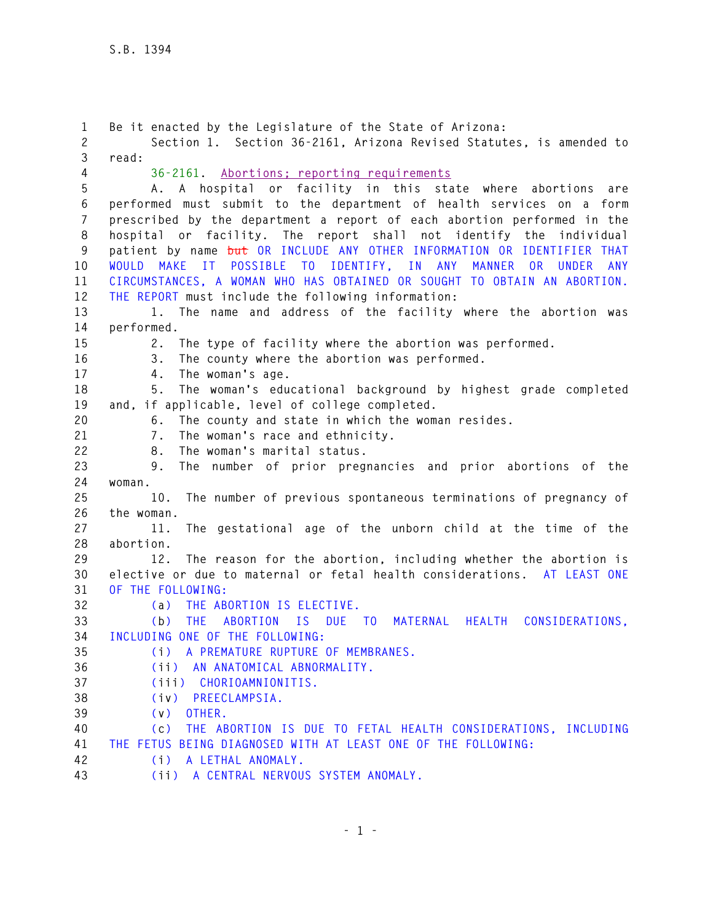**1 Be it enacted by the Legislature of the State of Arizona: 2 Section 1. Section 36-2161, Arizona Revised Statutes, is amended to 3 read: 4 36-2161. Abortions; reporting requirements 5 A. A hospital or facility in this state where abortions are 6 performed must submit to the department of health services on a form 7 prescribed by the department a report of each abortion performed in the 8 hospital or facility. The report shall not identify the individual 9 patient by name but OR INCLUDE ANY OTHER INFORMATION OR IDENTIFIER THAT 10 WOULD MAKE IT POSSIBLE TO IDENTIFY, IN ANY MANNER OR UNDER ANY 11 CIRCUMSTANCES, A WOMAN WHO HAS OBTAINED OR SOUGHT TO OBTAIN AN ABORTION. 12 THE REPORT must include the following information: 13 1. The name and address of the facility where the abortion was 14 performed. 15 2. The type of facility where the abortion was performed. 16 3. The county where the abortion was performed. 17 4. The woman's age. 18 5. The woman's educational background by highest grade completed 19 and, if applicable, level of college completed. 20 6. The county and state in which the woman resides. 21 7. The woman's race and ethnicity. 22 8. The woman's marital status. 23 9. The number of prior pregnancies and prior abortions of the 24 woman. 25 10. The number of previous spontaneous terminations of pregnancy of 26 the woman. 27 11. The gestational age of the unborn child at the time of the 28 abortion. 29 12. The reason for the abortion, including whether the abortion is 30 elective or due to maternal or fetal health considerations. AT LEAST ONE 31 OF THE FOLLOWING: 32 (a) THE ABORTION IS ELECTIVE. 33 (b) THE ABORTION IS DUE TO MATERNAL HEALTH CONSIDERATIONS, 34 INCLUDING ONE OF THE FOLLOWING: 35 (i) A PREMATURE RUPTURE OF MEMBRANES. 36 (ii) AN ANATOMICAL ABNORMALITY. 37 (iii) CHORIOAMNIONITIS. 38 (iv) PREECLAMPSIA. 39 (v) OTHER. 40 (c) THE ABORTION IS DUE TO FETAL HEALTH CONSIDERATIONS, INCLUDING 41 THE FETUS BEING DIAGNOSED WITH AT LEAST ONE OF THE FOLLOWING: 42 (i) A LETHAL ANOMALY. 43 (ii) A CENTRAL NERVOUS SYSTEM ANOMALY.**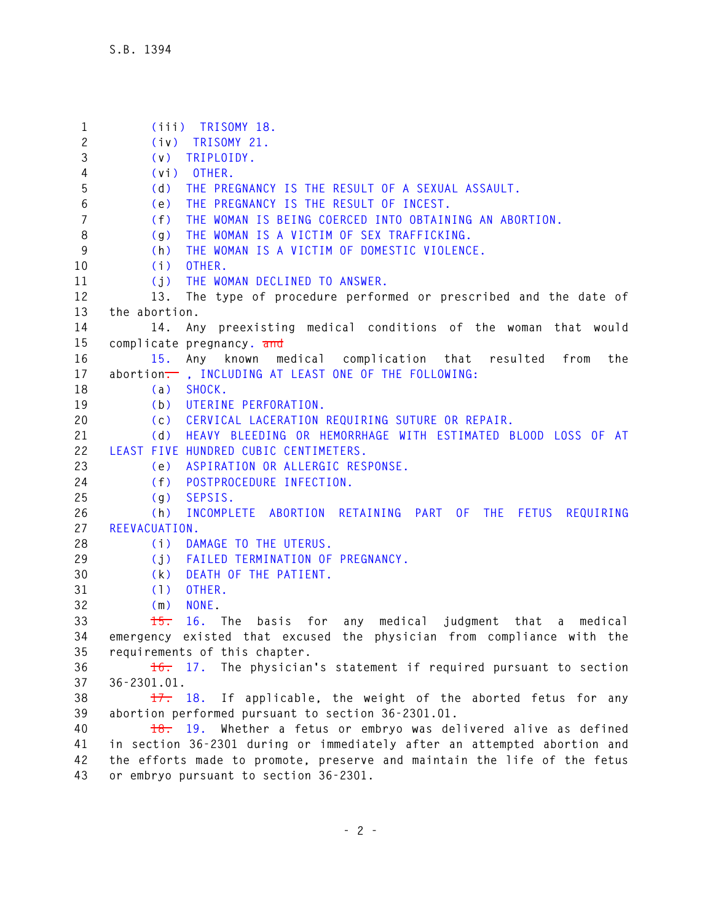**1 (iii) TRISOMY 18. 2 (iv) TRISOMY 21. 3 (v) TRIPLOIDY. 4 (vi) OTHER. 5 (d) THE PREGNANCY IS THE RESULT OF A SEXUAL ASSAULT. 6 (e) THE PREGNANCY IS THE RESULT OF INCEST. 7 (f) THE WOMAN IS BEING COERCED INTO OBTAINING AN ABORTION. 8 (g) THE WOMAN IS A VICTIM OF SEX TRAFFICKING. 9 (h) THE WOMAN IS A VICTIM OF DOMESTIC VIOLENCE. 10 (i) OTHER. 11 (j) THE WOMAN DECLINED TO ANSWER. 12 13. The type of procedure performed or prescribed and the date of 13 the abortion. 14 14. Any preexisting medical conditions of the woman that would 15 complicate pregnancy. and 16 15. Any known medical complication that resulted from the**  17 abortion<sup>-</sup>, INCLUDING AT LEAST ONE OF THE FOLLOWING: **18 (a) SHOCK. 19 (b) UTERINE PERFORATION. 20 (c) CERVICAL LACERATION REQUIRING SUTURE OR REPAIR. 21 (d) HEAVY BLEEDING OR HEMORRHAGE WITH ESTIMATED BLOOD LOSS OF AT 22 LEAST FIVE HUNDRED CUBIC CENTIMETERS. 23 (e) ASPIRATION OR ALLERGIC RESPONSE. 24 (f) POSTPROCEDURE INFECTION. 25 (g) SEPSIS. 26 (h) INCOMPLETE ABORTION RETAINING PART OF THE FETUS REQUIRING 27 REEVACUATION. 28 (i) DAMAGE TO THE UTERUS. 29 (j) FAILED TERMINATION OF PREGNANCY. 30 (k) DEATH OF THE PATIENT. 31 (l) OTHER. 32 (m) NONE. 33 15. 16. The basis for any medical judgment that a medical 34 emergency existed that excused the physician from compliance with the 35 requirements of this chapter. 36 16. 17. The physician's statement if required pursuant to section 37 36-2301.01. 38 17. 18. If applicable, the weight of the aborted fetus for any 39 abortion performed pursuant to section 36-2301.01. 40 18. 19. Whether a fetus or embryo was delivered alive as defined 41 in section 36-2301 during or immediately after an attempted abortion and 42 the efforts made to promote, preserve and maintain the life of the fetus 43 or embryo pursuant to section 36-2301.**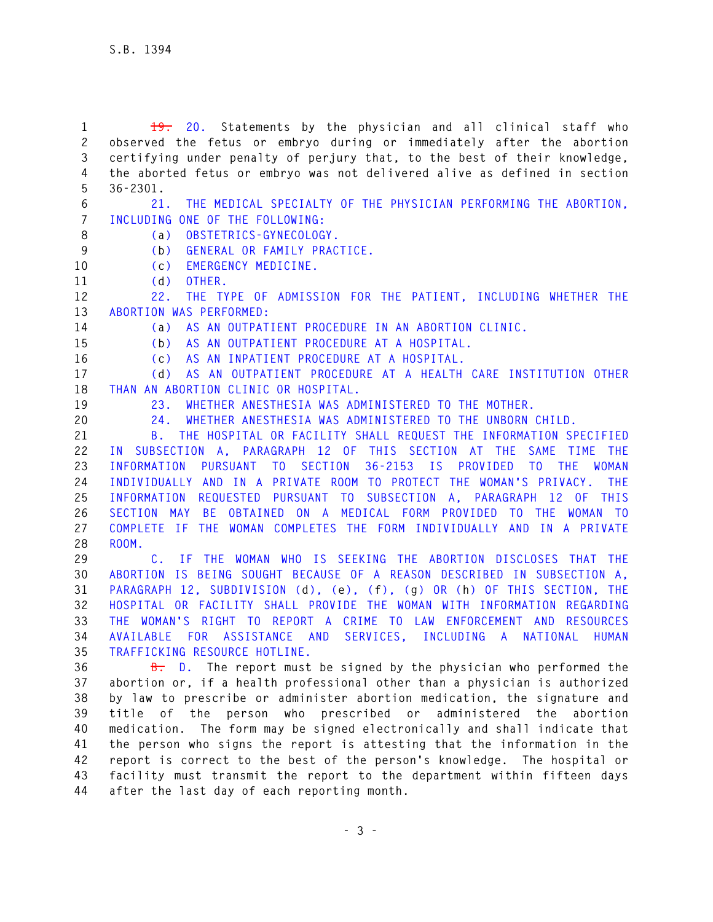**1 19. 20. Statements by the physician and all clinical staff who 2 observed the fetus or embryo during or immediately after the abortion 3 certifying under penalty of perjury that, to the best of their knowledge, 4 the aborted fetus or embryo was not delivered alive as defined in section 5 36-2301. 6 21. THE MEDICAL SPECIALTY OF THE PHYSICIAN PERFORMING THE ABORTION, 7 INCLUDING ONE OF THE FOLLOWING: 8 (a) OBSTETRICS-GYNECOLOGY. 9 (b) GENERAL OR FAMILY PRACTICE. 10 (c) EMERGENCY MEDICINE. 11 (d) OTHER. 12 22. THE TYPE OF ADMISSION FOR THE PATIENT, INCLUDING WHETHER THE 13 ABORTION WAS PERFORMED: 14 (a) AS AN OUTPATIENT PROCEDURE IN AN ABORTION CLINIC. 15 (b) AS AN OUTPATIENT PROCEDURE AT A HOSPITAL. 16 (c) AS AN INPATIENT PROCEDURE AT A HOSPITAL. 17 (d) AS AN OUTPATIENT PROCEDURE AT A HEALTH CARE INSTITUTION OTHER 18 THAN AN ABORTION CLINIC OR HOSPITAL. 19 23. WHETHER ANESTHESIA WAS ADMINISTERED TO THE MOTHER. 20 24. WHETHER ANESTHESIA WAS ADMINISTERED TO THE UNBORN CHILD. 21 B. THE HOSPITAL OR FACILITY SHALL REQUEST THE INFORMATION SPECIFIED 22 IN SUBSECTION A, PARAGRAPH 12 OF THIS SECTION AT THE SAME TIME THE 23 INFORMATION PURSUANT TO SECTION 36-2153 IS PROVIDED TO THE WOMAN 24 INDIVIDUALLY AND IN A PRIVATE ROOM TO PROTECT THE WOMAN'S PRIVACY. THE 25 INFORMATION REQUESTED PURSUANT TO SUBSECTION A, PARAGRAPH 12 OF THIS 26 SECTION MAY BE OBTAINED ON A MEDICAL FORM PROVIDED TO THE WOMAN TO 27 COMPLETE IF THE WOMAN COMPLETES THE FORM INDIVIDUALLY AND IN A PRIVATE 28 ROOM. 29 C. IF THE WOMAN WHO IS SEEKING THE ABORTION DISCLOSES THAT THE 30 ABORTION IS BEING SOUGHT BECAUSE OF A REASON DESCRIBED IN SUBSECTION A, 31 PARAGRAPH 12, SUBDIVISION (d), (e), (f), (g) OR (h) OF THIS SECTION, THE 32 HOSPITAL OR FACILITY SHALL PROVIDE THE WOMAN WITH INFORMATION REGARDING 33 THE WOMAN'S RIGHT TO REPORT A CRIME TO LAW ENFORCEMENT AND RESOURCES 34 AVAILABLE FOR ASSISTANCE AND SERVICES, INCLUDING A NATIONAL HUMAN 35 TRAFFICKING RESOURCE HOTLINE. 36 B. D. The report must be signed by the physician who performed the 37 abortion or, if a health professional other than a physician is authorized 38 by law to prescribe or administer abortion medication, the signature and 39 title of the person who prescribed or administered the abortion 40 medication. The form may be signed electronically and shall indicate that 41 the person who signs the report is attesting that the information in the 42 report is correct to the best of the person's knowledge. The hospital or 43 facility must transmit the report to the department within fifteen days 44 after the last day of each reporting month.**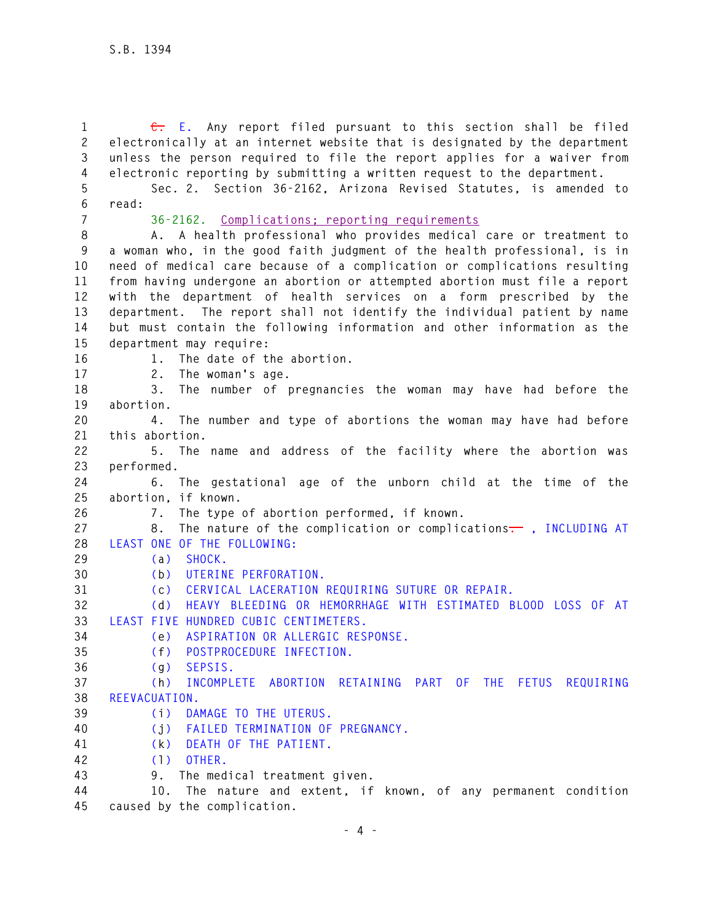**1 C. E. Any report filed pursuant to this section shall be filed 2 electronically at an internet website that is designated by the department 3 unless the person required to file the report applies for a waiver from 4 electronic reporting by submitting a written request to the department. 5 Sec. 2. Section 36-2162, Arizona Revised Statutes, is amended to 6 read: 7 36-2162. Complications; reporting requirements 8 A. A health professional who provides medical care or treatment to 9 a woman who, in the good faith judgment of the health professional, is in 10 need of medical care because of a complication or complications resulting 11 from having undergone an abortion or attempted abortion must file a report 12 with the department of health services on a form prescribed by the 13 department. The report shall not identify the individual patient by name 14 but must contain the following information and other information as the 15 department may require: 16 1. The date of the abortion. 17 2. The woman's age. 18 3. The number of pregnancies the woman may have had before the 19 abortion. 20 4. The number and type of abortions the woman may have had before 21 this abortion. 22 5. The name and address of the facility where the abortion was 23 performed. 24 6. The gestational age of the unborn child at the time of the 25 abortion, if known. 26 7. The type of abortion performed, if known. 27 8. The nature of the complication or complications. , INCLUDING AT 28 LEAST ONE OF THE FOLLOWING: 29 (a) SHOCK. 30 (b) UTERINE PERFORATION. 31 (c) CERVICAL LACERATION REQUIRING SUTURE OR REPAIR. 32 (d) HEAVY BLEEDING OR HEMORRHAGE WITH ESTIMATED BLOOD LOSS OF AT 33 LEAST FIVE HUNDRED CUBIC CENTIMETERS. 34 (e) ASPIRATION OR ALLERGIC RESPONSE. 35 (f) POSTPROCEDURE INFECTION. 36 (g) SEPSIS. 37 (h) INCOMPLETE ABORTION RETAINING PART OF THE FETUS REQUIRING 38 REEVACUATION. 39 (i) DAMAGE TO THE UTERUS. 40 (j) FAILED TERMINATION OF PREGNANCY. 41 (k) DEATH OF THE PATIENT. 42 (l) OTHER. 43 9. The medical treatment given. 44 10. The nature and extent, if known, of any permanent condition 45 caused by the complication.**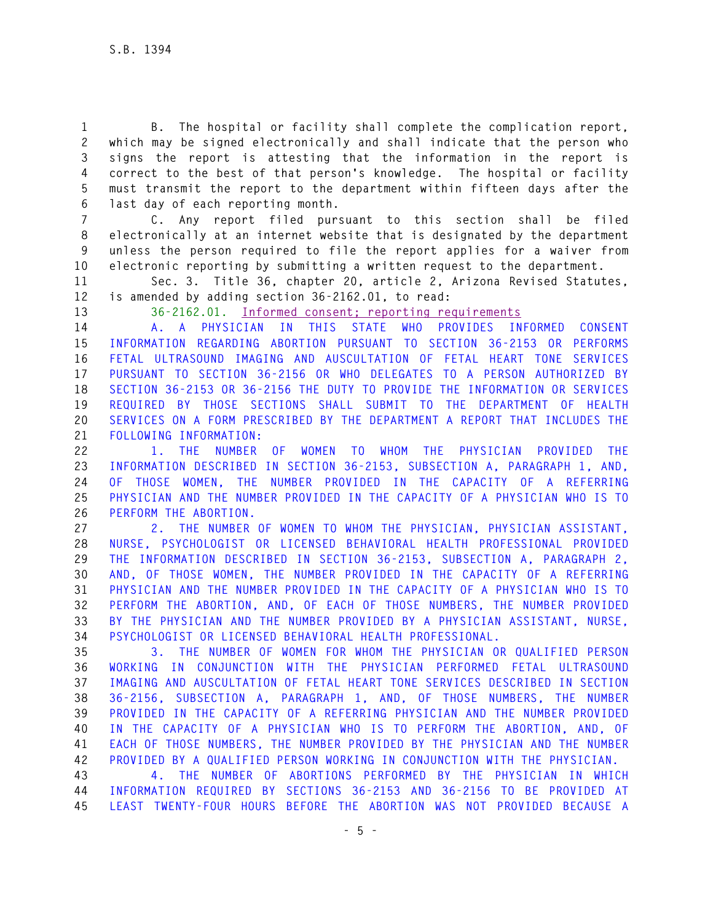**1 B. The hospital or facility shall complete the complication report, 2 which may be signed electronically and shall indicate that the person who 3 signs the report is attesting that the information in the report is 4 correct to the best of that person's knowledge. The hospital or facility 5 must transmit the report to the department within fifteen days after the 6 last day of each reporting month.** 

**7 C. Any report filed pursuant to this section shall be filed 8 electronically at an internet website that is designated by the department 9 unless the person required to file the report applies for a waiver from 10 electronic reporting by submitting a written request to the department.** 

**11 Sec. 3. Title 36, chapter 20, article 2, Arizona Revised Statutes, 12 is amended by adding section 36-2162.01, to read:** 

**13 36-2162.01. Informed consent; reporting requirements**

**14 A. A PHYSICIAN IN THIS STATE WHO PROVIDES INFORMED CONSENT 15 INFORMATION REGARDING ABORTION PURSUANT TO SECTION 36-2153 OR PERFORMS 16 FETAL ULTRASOUND IMAGING AND AUSCULTATION OF FETAL HEART TONE SERVICES 17 PURSUANT TO SECTION 36-2156 OR WHO DELEGATES TO A PERSON AUTHORIZED BY 18 SECTION 36-2153 OR 36-2156 THE DUTY TO PROVIDE THE INFORMATION OR SERVICES 19 REQUIRED BY THOSE SECTIONS SHALL SUBMIT TO THE DEPARTMENT OF HEALTH 20 SERVICES ON A FORM PRESCRIBED BY THE DEPARTMENT A REPORT THAT INCLUDES THE 21 FOLLOWING INFORMATION:** 

**22 1. THE NUMBER OF WOMEN TO WHOM THE PHYSICIAN PROVIDED THE 23 INFORMATION DESCRIBED IN SECTION 36-2153, SUBSECTION A, PARAGRAPH 1, AND, 24 OF THOSE WOMEN, THE NUMBER PROVIDED IN THE CAPACITY OF A REFERRING 25 PHYSICIAN AND THE NUMBER PROVIDED IN THE CAPACITY OF A PHYSICIAN WHO IS TO 26 PERFORM THE ABORTION.** 

**27 2. THE NUMBER OF WOMEN TO WHOM THE PHYSICIAN, PHYSICIAN ASSISTANT, 28 NURSE, PSYCHOLOGIST OR LICENSED BEHAVIORAL HEALTH PROFESSIONAL PROVIDED 29 THE INFORMATION DESCRIBED IN SECTION 36-2153, SUBSECTION A, PARAGRAPH 2, 30 AND, OF THOSE WOMEN, THE NUMBER PROVIDED IN THE CAPACITY OF A REFERRING 31 PHYSICIAN AND THE NUMBER PROVIDED IN THE CAPACITY OF A PHYSICIAN WHO IS TO 32 PERFORM THE ABORTION, AND, OF EACH OF THOSE NUMBERS, THE NUMBER PROVIDED 33 BY THE PHYSICIAN AND THE NUMBER PROVIDED BY A PHYSICIAN ASSISTANT, NURSE, 34 PSYCHOLOGIST OR LICENSED BEHAVIORAL HEALTH PROFESSIONAL.** 

**35 3. THE NUMBER OF WOMEN FOR WHOM THE PHYSICIAN OR QUALIFIED PERSON 36 WORKING IN CONJUNCTION WITH THE PHYSICIAN PERFORMED FETAL ULTRASOUND 37 IMAGING AND AUSCULTATION OF FETAL HEART TONE SERVICES DESCRIBED IN SECTION 38 36-2156, SUBSECTION A, PARAGRAPH 1, AND, OF THOSE NUMBERS, THE NUMBER 39 PROVIDED IN THE CAPACITY OF A REFERRING PHYSICIAN AND THE NUMBER PROVIDED 40 IN THE CAPACITY OF A PHYSICIAN WHO IS TO PERFORM THE ABORTION, AND, OF 41 EACH OF THOSE NUMBERS, THE NUMBER PROVIDED BY THE PHYSICIAN AND THE NUMBER 42 PROVIDED BY A QUALIFIED PERSON WORKING IN CONJUNCTION WITH THE PHYSICIAN.** 

**43 4. THE NUMBER OF ABORTIONS PERFORMED BY THE PHYSICIAN IN WHICH 44 INFORMATION REQUIRED BY SECTIONS 36-2153 AND 36-2156 TO BE PROVIDED AT 45 LEAST TWENTY-FOUR HOURS BEFORE THE ABORTION WAS NOT PROVIDED BECAUSE A**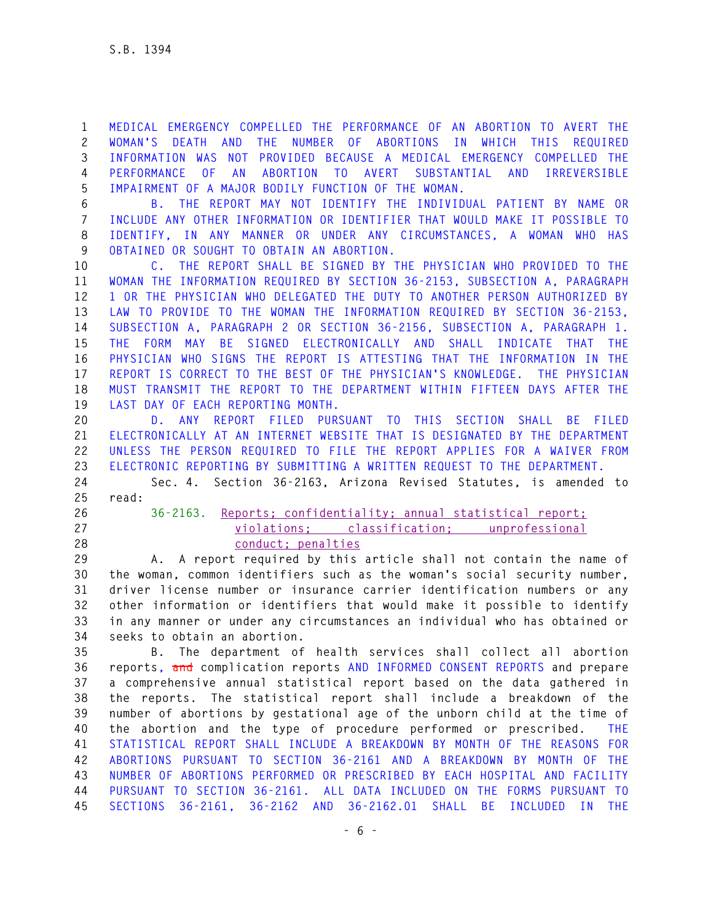**1 MEDICAL EMERGENCY COMPELLED THE PERFORMANCE OF AN ABORTION TO AVERT THE 2 WOMAN'S DEATH AND THE NUMBER OF ABORTIONS IN WHICH THIS REQUIRED 3 INFORMATION WAS NOT PROVIDED BECAUSE A MEDICAL EMERGENCY COMPELLED THE 4 PERFORMANCE OF AN ABORTION TO AVERT SUBSTANTIAL AND IRREVERSIBLE 5 IMPAIRMENT OF A MAJOR BODILY FUNCTION OF THE WOMAN.** 

**6 B. THE REPORT MAY NOT IDENTIFY THE INDIVIDUAL PATIENT BY NAME OR 7 INCLUDE ANY OTHER INFORMATION OR IDENTIFIER THAT WOULD MAKE IT POSSIBLE TO 8 IDENTIFY, IN ANY MANNER OR UNDER ANY CIRCUMSTANCES, A WOMAN WHO HAS 9 OBTAINED OR SOUGHT TO OBTAIN AN ABORTION.** 

**10 C. THE REPORT SHALL BE SIGNED BY THE PHYSICIAN WHO PROVIDED TO THE 11 WOMAN THE INFORMATION REQUIRED BY SECTION 36-2153, SUBSECTION A, PARAGRAPH 12 1 OR THE PHYSICIAN WHO DELEGATED THE DUTY TO ANOTHER PERSON AUTHORIZED BY 13 LAW TO PROVIDE TO THE WOMAN THE INFORMATION REQUIRED BY SECTION 36-2153, 14 SUBSECTION A, PARAGRAPH 2 OR SECTION 36-2156, SUBSECTION A, PARAGRAPH 1. 15 THE FORM MAY BE SIGNED ELECTRONICALLY AND SHALL INDICATE THAT THE 16 PHYSICIAN WHO SIGNS THE REPORT IS ATTESTING THAT THE INFORMATION IN THE 17 REPORT IS CORRECT TO THE BEST OF THE PHYSICIAN'S KNOWLEDGE. THE PHYSICIAN 18 MUST TRANSMIT THE REPORT TO THE DEPARTMENT WITHIN FIFTEEN DAYS AFTER THE 19 LAST DAY OF EACH REPORTING MONTH.** 

**20 D. ANY REPORT FILED PURSUANT TO THIS SECTION SHALL BE FILED 21 ELECTRONICALLY AT AN INTERNET WEBSITE THAT IS DESIGNATED BY THE DEPARTMENT 22 UNLESS THE PERSON REQUIRED TO FILE THE REPORT APPLIES FOR A WAIVER FROM 23 ELECTRONIC REPORTING BY SUBMITTING A WRITTEN REQUEST TO THE DEPARTMENT.** 

**24 Sec. 4. Section 36-2163, Arizona Revised Statutes, is amended to 25 read:** 

**26 36-2163. Reports; confidentiality; annual statistical report; 27 violations; classification; unprofessional 28 conduct; penalties**

**29 A. A report required by this article shall not contain the name of 30 the woman, common identifiers such as the woman's social security number, 31 driver license number or insurance carrier identification numbers or any 32 other information or identifiers that would make it possible to identify 33 in any manner or under any circumstances an individual who has obtained or 34 seeks to obtain an abortion.** 

**35 B. The department of health services shall collect all abortion 36 reports, and complication reports AND INFORMED CONSENT REPORTS and prepare 37 a comprehensive annual statistical report based on the data gathered in 38 the reports. The statistical report shall include a breakdown of the 39 number of abortions by gestational age of the unborn child at the time of 40 the abortion and the type of procedure performed or prescribed. THE 41 STATISTICAL REPORT SHALL INCLUDE A BREAKDOWN BY MONTH OF THE REASONS FOR 42 ABORTIONS PURSUANT TO SECTION 36-2161 AND A BREAKDOWN BY MONTH OF THE 43 NUMBER OF ABORTIONS PERFORMED OR PRESCRIBED BY EACH HOSPITAL AND FACILITY 44 PURSUANT TO SECTION 36-2161. ALL DATA INCLUDED ON THE FORMS PURSUANT TO 45 SECTIONS 36-2161, 36-2162 AND 36-2162.01 SHALL BE INCLUDED IN THE**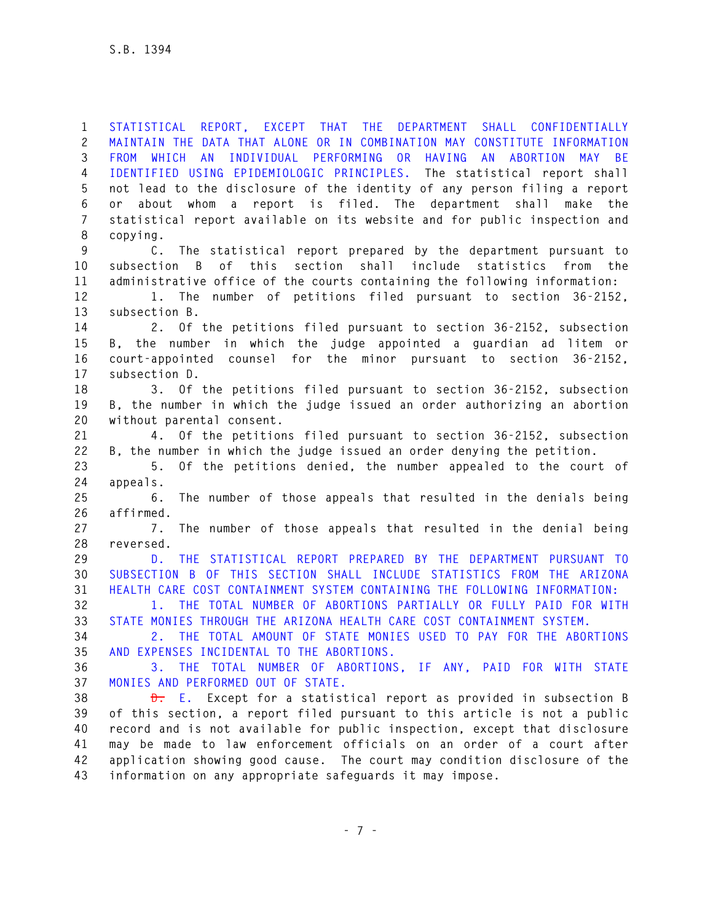**1 STATISTICAL REPORT, EXCEPT THAT THE DEPARTMENT SHALL CONFIDENTIALLY 2 MAINTAIN THE DATA THAT ALONE OR IN COMBINATION MAY CONSTITUTE INFORMATION 3 FROM WHICH AN INDIVIDUAL PERFORMING OR HAVING AN ABORTION MAY BE 4 IDENTIFIED USING EPIDEMIOLOGIC PRINCIPLES. The statistical report shall 5 not lead to the disclosure of the identity of any person filing a report 6 or about whom a report is filed. The department shall make the 7 statistical report available on its website and for public inspection and 8 copying. 9 C. The statistical report prepared by the department pursuant to 10 subsection B of this section shall include statistics from the 11 administrative office of the courts containing the following information: 12 1. The number of petitions filed pursuant to section 36-2152, 13 subsection B. 14 2. Of the petitions filed pursuant to section 36-2152, subsection 15 B, the number in which the judge appointed a guardian ad litem or 16 court-appointed counsel for the minor pursuant to section 36-2152, 17 subsection D. 18 3. Of the petitions filed pursuant to section 36-2152, subsection 19 B, the number in which the judge issued an order authorizing an abortion 20 without parental consent. 21 4. Of the petitions filed pursuant to section 36-2152, subsection 22 B, the number in which the judge issued an order denying the petition. 23 5. Of the petitions denied, the number appealed to the court of 24 appeals. 25 6. The number of those appeals that resulted in the denials being 26 affirmed. 27 7. The number of those appeals that resulted in the denial being 28 reversed. 29 D. THE STATISTICAL REPORT PREPARED BY THE DEPARTMENT PURSUANT TO 30 SUBSECTION B OF THIS SECTION SHALL INCLUDE STATISTICS FROM THE ARIZONA 31 HEALTH CARE COST CONTAINMENT SYSTEM CONTAINING THE FOLLOWING INFORMATION: 32 1. THE TOTAL NUMBER OF ABORTIONS PARTIALLY OR FULLY PAID FOR WITH 33 STATE MONIES THROUGH THE ARIZONA HEALTH CARE COST CONTAINMENT SYSTEM. 34 2. THE TOTAL AMOUNT OF STATE MONIES USED TO PAY FOR THE ABORTIONS 35 AND EXPENSES INCIDENTAL TO THE ABORTIONS. 36 3. THE TOTAL NUMBER OF ABORTIONS, IF ANY, PAID FOR WITH STATE 37 MONIES AND PERFORMED OUT OF STATE. 38 D. E. Except for a statistical report as provided in subsection B 39 of this section, a report filed pursuant to this article is not a public 40 record and is not available for public inspection, except that disclosure 41 may be made to law enforcement officials on an order of a court after 42 application showing good cause. The court may condition disclosure of the** 

**43 information on any appropriate safeguards it may impose.**